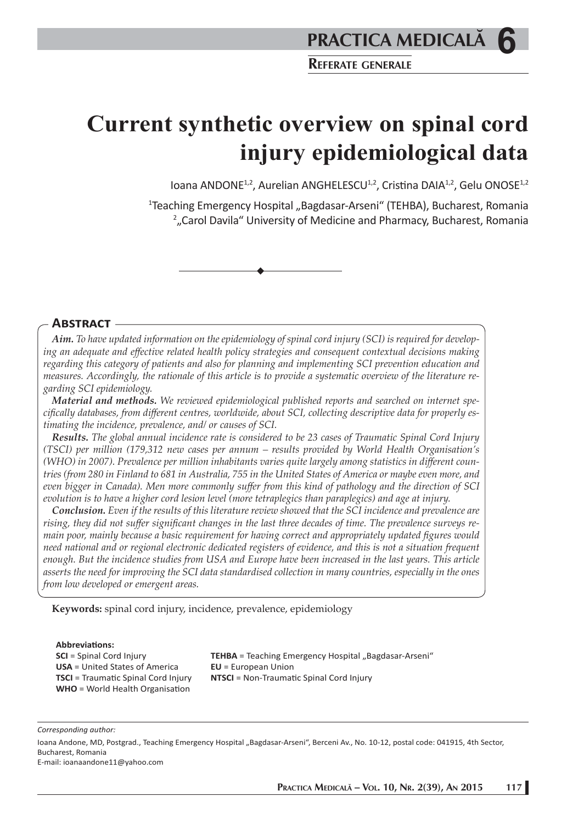**Current synthetic overview on spinal cord injury epidemiological data** 

Ioana ANDONE<sup>1,2</sup>, Aurelian ANGHELESCU<sup>1,2</sup>, Cristina DAIA<sup>1,2</sup>, Gelu ONOSE<sup>1,2</sup>

<sup>1</sup>Teaching Emergency Hospital "Bagdasar-Arseni" (TEHBA), Bucharest, Romania 2 "Carol Davila" University of Medicine and Pharmacy, Bucharest, Romania

#### **ABSTRACT**

*Aim. To have updated information on the epidemiology of spinal cord injury (SCI) is required for developing an adequate and eff ective related health policy strategies and consequent contextual decisions making regarding this category of patients and also for planning and implementing SCI prevention education and measures. Accordingly, the rationale of this article is to provide a systematic overview of the literature regarding SCI epidemiology.*

*Material and methods. We reviewed epidemiological published reports and searched on internet specifi cally databases, from diff erent centres, worldwide, about SCI, collecting descriptive data for properly estimating the incidence, prevalence, and/ or causes of SCI.*

*Results. The global annual incidence rate is considered to be 23 cases of Traumatic Spinal Cord Injury (TSCI) per million (179,312 new cases per annum – results provided by World Health Organisation's (WHO) in 2007). Prevalence per million inhabitants varies quite largely among statistics in diff erent countries (from 280 in Finland to 681 in Australia, 755 in the United States of America or maybe even more, and even bigger in Canada). Men more commonly suff er from this kind of pathology and the direction of SCI evolution is to have a higher cord lesion level (more tetraplegics than paraplegics) and age at injury.*

*Conclusion. Even if the results of this literature review showed that the SCI incidence and prevalence are*  rising, they did not suffer significant changes in the last three decades of time. The prevalence surveys re*main poor, mainly because a basic requirement for having correct and appropriately updated figures would need national and or regional electronic dedicated registers of evidence, and this is not a situation frequent enough. But the incidence studies from USA and Europe have been increased in the last years. This article asserts the need for improving the SCI data standardised collection in many countries, especially in the ones from low developed or emergent areas.*

**Keywords:** spinal cord injury, incidence, prevalence, epidemiology

#### **Abbreviati ons:**

**SCI** = Spinal Cord Injury **USA** = United States of America **TSCI** = Traumatic Spinal Cord Injury **WHO** = World Health Organisation

TEHBA = Teaching Emergency Hospital "Bagdasar-Arseni" **EU** = European Union **NTSCI** = Non-Traumatic Spinal Cord Injury

*Corresponding author:* 

Ioana Andone, MD, Postgrad., Teaching Emergency Hospital "Bagdasar-Arseni", Berceni Av., No. 10-12, postal code: 041915, 4th Sector, Bucharest, Romania

E-mail: ioanaandone11@yahoo.com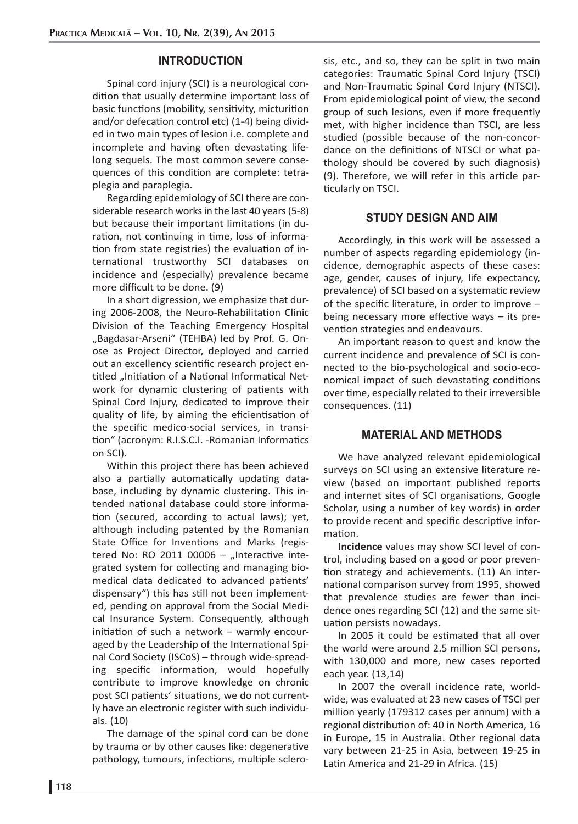### **INTRODUCTION**

Spinal cord injury (SCI) is a neurological condition that usually determine important loss of basic functions (mobility, sensitivity, micturition and/or defecation control etc) (1-4) being divided in two main types of lesion i.e. complete and incomplete and having often devastating lifelong sequels. The most common severe consequences of this condition are complete: tetraplegia and paraplegia.

Regarding epidemiology of SCI there are considerable research works in the last 40 years (5-8) but because their important limitations (in duration, not continuing in time, loss of information from state registries) the evaluation of international trustworthy SCI databases on incidence and (especially) prevalence became more difficult to be done. (9)

In a short digression, we emphasize that during 2006-2008, the Neuro-Rehabilitation Clinic Division of the Teaching Emergency Hospital "Bagdasar-Arseni" (TEHBA) led by Prof. G. Onose as Project Director, deployed and carried out an excellency scientific research project entitled "Initiation of a National Informatical Network for dynamic clustering of patients with Spinal Cord Injury, dedicated to improve their quality of life, by aiming the eficientisation of the specific medico-social services, in transition" (acronym: R.I.S.C.I. - Romanian Informatics on SCI).

Within this project there has been achieved also a partially automatically updating database, including by dynamic clustering. This intended national database could store information (secured, according to actual laws); yet, although including patented by the Romanian State Office for Inventions and Marks (registered No: RO 2011 00006  $-$  "Interactive integrated system for collecting and managing biomedical data dedicated to advanced patients' dispensary") this has still not been implemented, pending on approval from the Social Medical Insurance System. Consequently, although initiation of such a network  $-$  warmly encouraged by the Leadership of the International Spinal Cord Society (ISCoS) – through wide-spreading specific information, would hopefully contribute to improve knowledge on chronic post SCI patients' situations, we do not currently have an electronic register with such individuals. (10)

The damage of the spinal cord can be done by trauma or by other causes like: degenerative pathology, tumours, infections, multiple sclerosis, etc., and so, they can be split in two main categories: Traumatic Spinal Cord Injury (TSCI) and Non-Traumatic Spinal Cord Injury (NTSCI). From epidemiological point of view, the second group of such lesions, even if more frequently met, with higher incidence than TSCI, are less studied (possible because of the non-concordance on the definitions of NTSCI or what pathology should be covered by such diagnosis)  $(9)$ . Therefore, we will refer in this article particularly on TSCI.

## **STUDY DESIGN AND AIM**

Accordingly, in this work will be assessed a number of aspects regarding epidemiology (incidence, demographic aspects of these cases: age, gender, causes of injury, life expectancy, prevalence) of SCI based on a systematic review of the specific literature, in order to improve  $$ being necessary more effective ways  $-$  its prevention strategies and endeavours.

An important reason to quest and know the current incidence and prevalence of SCI is connected to the bio-psychological and socio-economical impact of such devastating conditions over time, especially related to their irreversible consequences. (11)

## **MATERIAL AND METHODS**

We have analyzed relevant epidemiological surveys on SCI using an extensive literature review (based on important published reports and internet sites of SCI organisations, Google Scholar, using a number of key words) in order to provide recent and specific descriptive information.

**Incidence** values may show SCI level of control, including based on a good or poor prevention strategy and achievements. (11) An international comparison survey from 1995, showed that prevalence studies are fewer than incidence ones regarding SCI (12) and the same situation persists nowadays.

In 2005 it could be estimated that all over the world were around 2.5 million SCI persons, with 130,000 and more, new cases reported each year. (13,14)

In 2007 the overall incidence rate, worldwide, was evaluated at 23 new cases of TSCI per million yearly (179312 cases per annum) with a regional distribution of: 40 in North America, 16 in Europe, 15 in Australia. Other regional data vary between 21-25 in Asia, between 19-25 in Latin America and 21-29 in Africa. (15)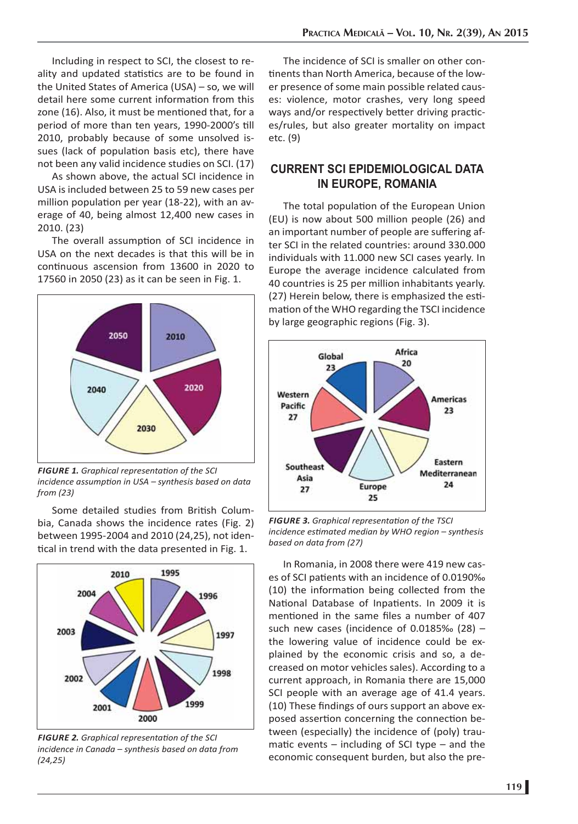Including in respect to SCI, the closest to reality and updated statistics are to be found in the United States of America (USA) – so, we will detail here some current information from this zone (16). Also, it must be mentioned that, for a period of more than ten years, 1990-2000's till 2010, probably because of some unsolved issues (lack of population basis etc), there have not been any valid incidence studies on SCI. (17)

As shown above, the actual SCI incidence in USA is included between 25 to 59 new cases per million population per year (18-22), with an average of 40, being almost 12,400 new cases in 2010. (23)

The overall assumption of SCI incidence in USA on the next decades is that this will be in continuous ascension from 13600 in 2020 to 17560 in 2050 (23) as it can be seen in Fig. 1.



*FIGURE 1. Graphical representati on of the SCI incidence assumption in USA – synthesis based on data from (23)*

Some detailed studies from British Columbia, Canada shows the incidence rates (Fig. 2) between 1995-2004 and 2010 (24,25), not identical in trend with the data presented in Fig. 1.



*FIGURE 2. Graphical representati on of the SCI incidence in Canada – synthesis based on data from (24,25)*

The incidence of SCI is smaller on other continents than North America, because of the lower presence of some main possible related causes: violence, motor crashes, very long speed ways and/or respectively better driving practices/rules, but also greater mortality on impact etc. (9)

## **CURRENT SCI EPIDEMIOLOGICAL DATA IN EUROPE, ROMANIA**

The total population of the European Union (EU) is now about 500 million people (26) and an important number of people are suffering after SCI in the related countries: around 330.000 individuals with 11.000 new SCI cases yearly. In Europe the average incidence calculated from 40 countries is 25 per million inhabitants yearly. (27) Herein below, there is emphasized the estimation of the WHO regarding the TSCI incidence by large geographic regions (Fig. 3).



*FIGURE 3. Graphical representati on of the TSCI incidence esti mated median by WHO region – synthesis based on data from (27)*

In Romania, in 2008 there were 419 new cases of SCI patients with an incidence of 0.0190‰  $(10)$  the information being collected from the National Database of Inpatients. In 2009 it is mentioned in the same files a number of 407 such new cases (incidence of 0.0185‰ (28) – the lowering value of incidence could be explained by the economic crisis and so, a decreased on motor vehicles sales). According to a current approach, in Romania there are 15,000 SCI people with an average age of 41.4 years. (10) These findings of ours support an above exposed assertion concerning the connection between (especially) the incidence of (poly) traumatic events  $-$  including of SCI type  $-$  and the economic consequent burden, but also the pre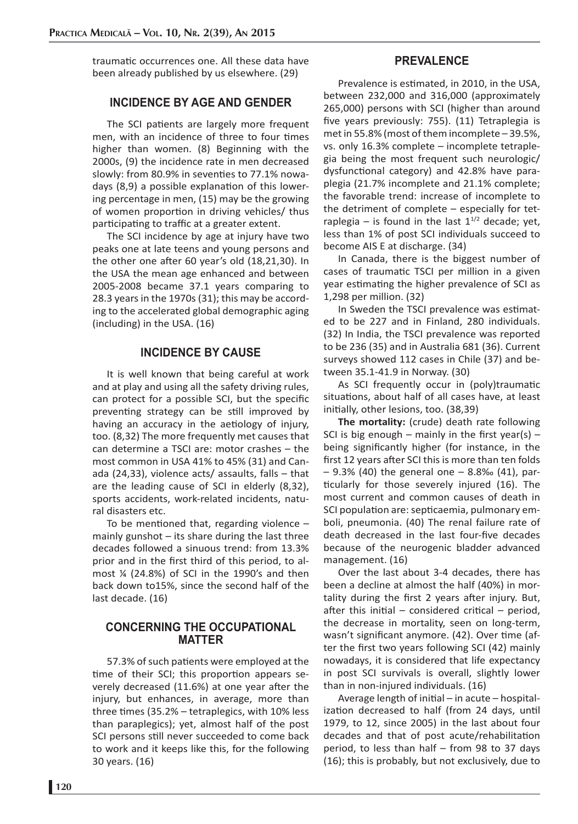traumatic occurrences one. All these data have been already published by us elsewhere. (29)

## **INCIDENCE BY AGE AND GENDER**

The SCI patients are largely more frequent men, with an incidence of three to four times higher than women. (8) Beginning with the 2000s, (9) the incidence rate in men decreased slowly: from 80.9% in seventies to 77.1% nowadays (8,9) a possible explanation of this lowering percentage in men, (15) may be the growing of women proportion in driving vehicles/ thus participating to traffic at a greater extent.

The SCI incidence by age at injury have two peaks one at late teens and young persons and the other one after 60 year's old  $(18,21,30)$ . In the USA the mean age enhanced and between 2005-2008 became 37.1 years comparing to 28.3 years in the 1970s (31); this may be according to the accelerated global demographic aging (including) in the USA. (16)

#### **INCIDENCE BY CAUSE**

It is well known that being careful at work and at play and using all the safety driving rules, can protect for a possible SCI, but the specific preventing strategy can be still improved by having an accuracy in the aetiology of injury, too. (8,32) The more frequently met causes that can determine a TSCI are: motor crashes – the most common in USA 41% to 45% (31) and Canada (24,33), violence acts/ assaults, falls – that are the leading cause of SCI in elderly (8,32), sports accidents, work-related incidents, natural disasters etc.

To be mentioned that, regarding violence  $$ mainly gunshot  $-$  its share during the last three decades followed a sinuous trend: from 13.3% prior and in the first third of this period, to almost ¼ (24.8%) of SCI in the 1990's and then back down to15%, since the second half of the last decade. (16)

### **CONCERNING THE OCCUPATIONAL MATTER**

57.3% of such patients were employed at the time of their SCI; this proportion appears severely decreased (11.6%) at one year after the injury, but enhances, in average, more than three times (35.2% - tetraplegics, with 10% less than paraplegics); yet, almost half of the post SCI persons still never succeeded to come back to work and it keeps like this, for the following 30 years. (16)

## **PREVALENCE**

Prevalence is estimated, in 2010, in the USA, between 232,000 and 316,000 (approximately 265,000) persons with SCI (higher than around five years previously: 755). (11) Tetraplegia is met in 55.8% (most of them incomplete – 39.5%, vs. only 16.3% complete – incomplete tetraplegia being the most frequent such neurologic/ dysfunctional category) and 42.8% have paraplegia (21.7% incomplete and 21.1% complete; the favorable trend: increase of incomplete to the detriment of complete – especially for tetraplegia – is found in the last  $1^{1/2}$  decade; yet, less than 1% of post SCI individuals succeed to become AIS E at discharge. (34)

In Canada, there is the biggest number of cases of traumatic TSCI per million in a given year estimating the higher prevalence of SCI as 1,298 per million. (32)

In Sweden the TSCI prevalence was estimated to be 227 and in Finland, 280 individuals. (32) In India, the TSCI prevalence was reported to be 236 (35) and in Australia 681 (36). Current surveys showed 112 cases in Chile (37) and between 35.1-41.9 in Norway. (30)

As SCI frequently occur in (poly)traumatic situations, about half of all cases have, at least initially, other lesions, too. (38,39)

**The mortality:** (crude) death rate following SCI is big enough – mainly in the first year(s) – being significantly higher (for instance, in the first 12 years after SCI this is more than ten folds – 9.3% (40) the general one – 8.8‰ (41), particularly for those severely injured (16). The most current and common causes of death in SCI population are: septicaemia, pulmonary emboli, pneumonia. (40) The renal failure rate of death decreased in the last four-five decades because of the neurogenic bladder advanced management. (16)

Over the last about 3-4 decades, there has been a decline at almost the half (40%) in mortality during the first 2 years after injury. But, after this initial – considered critical – period, the decrease in mortality, seen on long-term, wasn't significant anymore. (42). Over time (after the first two years following SCI (42) mainly nowadays, it is considered that life expectancy in post SCI survivals is overall, slightly lower than in non-injured individuals. (16)

Average length of initial  $-$  in acute  $-$  hospitalization decreased to half (from 24 days, until 1979, to 12, since 2005) in the last about four decades and that of post acute/rehabilitation period, to less than half – from 98 to 37 days (16); this is probably, but not exclusively, due to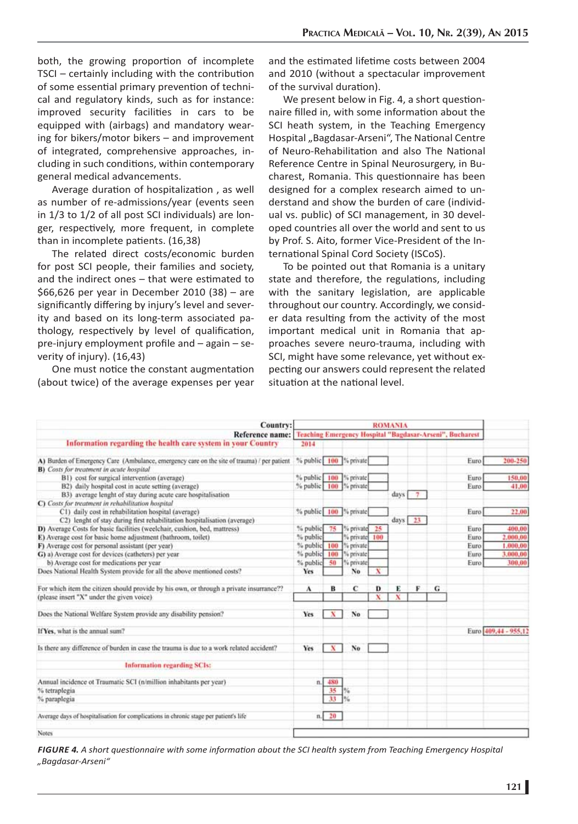both, the growing proportion of incomplete  $TSCI - certainly including with the contribution$ of some essential primary prevention of technical and regulatory kinds, such as for instance: improved security facilities in cars to be equipped with (airbags) and mandatory wearing for bikers/motor bikers – and improvement of integrated, comprehensive approaches, including in such conditions, within contemporary general medical advancements.

Average duration of hospitalization, as well as number of re-admissions/year (events seen in 1/3 to 1/2 of all post SCI individuals) are longer, respectively, more frequent, in complete than in incomplete patients. (16,38)

The related direct costs/economic burden for post SCI people, their families and society, and the indirect ones  $-$  that were estimated to \$66,626 per year in December 2010 (38) – are significantly differing by injury's level and severity and based on its long-term associated pathology, respectively by level of qualification, pre-injury employment profile and  $-$  again  $-$  severity of injury). (16,43)

One must notice the constant augmentation (about twice) of the average expenses per year and the estimated lifetime costs between 2004 and 2010 (without a spectacular improvement of the survival duration).

We present below in Fig. 4, a short questionnaire filled in, with some information about the SCI heath system, in the Teaching Emergency Hospital "Bagdasar-Arseni", The National Centre of Neuro-Rehabilitation and also The National Reference Centre in Spinal Neurosurgery, in Bucharest, Romania. This questionnaire has been designed for a complex research aimed to understand and show the burden of care (individual vs. public) of SCI management, in 30 developed countries all over the world and sent to us by Prof. S. Aito, former Vice-President of the International Spinal Cord Society (ISCoS).

To be pointed out that Romania is a unitary state and therefore, the regulations, including with the sanitary legislation, are applicable throughout our country. Accordingly, we consider data resulting from the activity of the most important medical unit in Romania that approaches severe neuro-trauma, including with SCI, might have some relevance, yet without expecting our answers could represent the related situation at the national level.

| <b>Country:</b>                                                                                                                                | <b>ROMANIA</b>         |     |               |   |           |   |   |                                                          |                      |
|------------------------------------------------------------------------------------------------------------------------------------------------|------------------------|-----|---------------|---|-----------|---|---|----------------------------------------------------------|----------------------|
| Reference name:                                                                                                                                |                        |     |               |   |           |   |   | Teaching Emergency Hospital "Bagdasar-Arseni", Bucharest |                      |
| Information regarding the health care system in your Country                                                                                   | 2014                   |     |               |   |           |   |   |                                                          |                      |
| A) Burden of Emergency Care (Ambulance, emergency care on the site of trauma) / per patient<br><b>B)</b> Costs for treatment in acute hospital | % public 100 % private |     |               |   |           |   |   | Euro                                                     | 200-250              |
| B1) cost for surgical intervention (average)                                                                                                   | % public 100           |     | % private     |   |           |   |   | Euro                                                     | 150,00               |
| B2) daily hospital cost in acute setting (average)                                                                                             | % public 100           |     | % private     |   |           |   |   | Euro                                                     | 41,00                |
| B3) average lenght of stay during acute care hospitalisation                                                                                   |                        |     |               |   | days      | 7 |   |                                                          |                      |
| C) Costs for treatment in rehabilitation hospital                                                                                              |                        |     |               |   |           |   |   |                                                          |                      |
| C1) daily cost in rehabilitation hospital (average)                                                                                            | % public 100 % private |     |               |   |           |   |   | Euro                                                     | 22.00                |
| C2) lenght of stay during first rehabilitation hospitalisation (average)                                                                       |                        |     |               |   | $days$ 23 |   |   |                                                          |                      |
| D) Average Costs for basic facilities (weelchair, cushion, bed, mattress)                                                                      | % public               | 75  | % private 25  |   |           |   |   | Euro                                                     | 400,00               |
| E) Average cost for basic home adjustment (bathroom, toilet)                                                                                   | % public               |     | % private 100 |   |           |   |   | Euro                                                     | 2,000,00             |
| F) Average cost for personal assistant (per year)                                                                                              | % public 100           |     | l'i private   |   |           |   |   | Euro                                                     | 1,000,00             |
| G) a) Average cost for devices (catheters) per year                                                                                            | % public 100           |     | % private     |   |           |   |   | Euro                                                     | 3,000,00             |
| b) Average cost for medications per year                                                                                                       | % public               | 50  | % private:    |   |           |   |   | Euro                                                     | 300.00               |
| Does National Health System provide for all the above mentioned costs?                                                                         | <b>Yes</b>             |     | No            | x |           |   |   |                                                          |                      |
| For which item the citizen should provide by his own, or through a private insurrance??                                                        | A                      | в   | c             | D | E         | F | G |                                                          |                      |
| (please insert "X" under the given voice)                                                                                                      |                        |     |               | x | x         |   |   |                                                          |                      |
| Does the National Welfare System provide any disability pension?                                                                               | Yes                    | x   | No            |   |           |   |   |                                                          |                      |
| If Yes, what is the annual sum?                                                                                                                |                        |     |               |   |           |   |   |                                                          | Euro 409,44 - 955.12 |
| Is there any difference of burden in case the trauma is due to a work related accident?                                                        | Yes                    | x   | No            |   |           |   |   |                                                          |                      |
| <b>Information regarding SCIs:</b>                                                                                                             |                        |     |               |   |           |   |   |                                                          |                      |
| Annual incidence ot Traumatic SCI (n/million inhabitants per year)                                                                             | $n$ .                  | 480 |               |   |           |   |   |                                                          |                      |
| % tetraplegia                                                                                                                                  |                        | 35  |               |   |           |   |   |                                                          |                      |
| % paraplegia                                                                                                                                   |                        | 33  |               |   |           |   |   |                                                          |                      |
| Average days of hospitalisation for complications in chronic stage per patient's life                                                          | n <sub>1</sub>         | 20  |               |   |           |   |   |                                                          |                      |
| Notes                                                                                                                                          |                        |     |               |   |           |   |   |                                                          |                      |

*FIGURE 4. A short questi onnaire with some informati on about the SCI health system from Teaching Emergency Hospital "Bagdasar-Arseni"*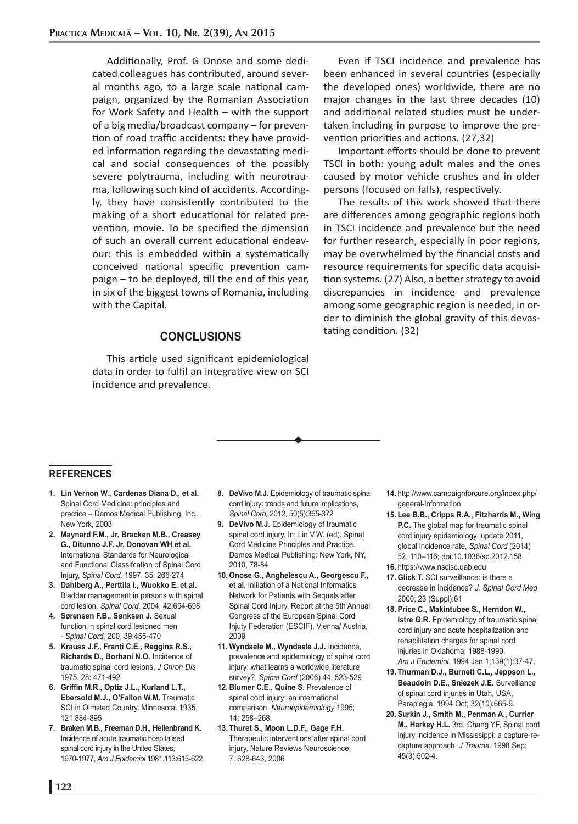Additionally, Prof. G Onose and some dedicated colleagues has contributed, around several months ago, to a large scale national campaign, organized by the Romanian Association for Work Safety and Health – with the support of a big media/broadcast company – for prevention of road traffic accidents: they have provided information regarding the devastating medical and social consequences of the possibly severe polytrauma, including with neurotrauma, following such kind of accidents. Accordingly, they have consistently contributed to the making of a short educational for related prevention, movie. To be specified the dimension of such an overall current educational endeavour: this is embedded within a systematically conceived national specific prevention cam $p$ aign  $-$  to be deployed, till the end of this year, in six of the biggest towns of Romania, including with the Capital.

## **CONCLUSIONS**

This article used significant epidemiological data in order to fulfil an integrative view on SCI incidence and prevalence.

Even if TSCI incidence and prevalence has been enhanced in several countries (especially the developed ones) worldwide, there are no major changes in the last three decades (10) and additional related studies must be undertaken including in purpose to improve the prevention priorities and actions. (27,32)

Important efforts should be done to prevent TSCI in both: young adult males and the ones caused by motor vehicle crushes and in older persons (focused on falls), respectively.

The results of this work showed that there are differences among geographic regions both in TSCI incidence and prevalence but the need for further research, especially in poor regions, may be overwhelmed by the financial costs and resource requirements for specific data acquisition systems. (27) Also, a better strategy to avoid discrepancies in incidence and prevalence among some geographic region is needed, in order to diminish the global gravity of this devastating condition. (32)

#### **REFERENCES**

- **1. Lin Vernon W., Cardenas Diana D., et al.**  Spinal Cord Medicine: principles and practice – Demos Medical Publishing, Inc., New York, 2003
- **2. Maynard F.M., Jr, Bracken M.B., Creasey G., Ditunno J.F. Jr, Donovan WH et al.**  International Standards for Neurological and Functional Classifcation of Spinal Cord Injury, *Spinal Cord,* 1997, 35: 266-274
- **3. Dahlberg A., Perttila I., Wuokko E. et al.**  Bladder management in persons with spinal cord lesion, *Spinal Cord,* 2004, 42:694-698
- **4. Sørensen F.B., Sønksen J.** Sexual function in spinal cord lesioned men - *Spinal Cord,* 200, 39:455-470
- **5. Krauss J.F., Franti C.E., Reggins R.S., Richards D., Borhani N.O.** Incidence of traumatic spinal cord lesions, *J Chron Dis*  1975, 28: 471-492
- 6. Griffin M.R., Optiz J.L., Kurland L.T., **Ebersold M.J., O'Fallon W.M.** Traumatic SCI in Olmsted Country, Minnesota, 1935, 121:884-895
- **7. Braken M.B., Freeman D.H., Hellenbrand K.** Incidence of acute traumatic hospitalised spinal cord injury in the United States, 1970-1977, *Am J Epidemiol* 1981,113:615-622
- **8. DeVivo M.J.** Epidemiology of traumatic spinal cord injury: trends and future implications, *Spinal Cord,* 2012, 50(5):365-372
- **9. DeVivo M.J.** Epidemiology of traumatic spinal cord injury. In: Lin V.W. (ed). Spinal Cord Medicine Principles and Practice. Demos Medical Publishing: New York, NY, 2010, 78-84
- **10. Onose G., Anghelescu A., Georgescu F., et al.** Initiation of a National Informatics Network for Patients with Sequels after Spinal Cord Injury, Report at the 5th Annual Congress of the European Spinal Cord Injuty Federation (ESCIF), Vienna/ Austria, 2009
- **11. Wyndaele M., Wyndaele J.J.** Incidence, prevalence and epidemiology of spinal cord injury: what learns a worldwide literature survey?, *Spinal Cord* (2006) 44, 523-529
- 12. Blumer C.E., Quine S. Prevalence of spinal cord injury: an international comparison. *Neuroepidemiology* 1995; 14: 258–268.
- **13. Thuret S., Moon L.D.F., Gage F.H.**  Therapeutic interventions after spinal cord injury, Nature Reviews Neuroscience, 7: 628-643, 2006
- **14.** http://www.campaignforcure.org/index.php/ general-information
- **15. Lee B.B., Cripps R.A., Fitzharris M., Wing P.C.** The global map for traumatic spinal cord injury epidemiology: update 2011, global incidence rate, *Spinal Cord* (2014) 52, 110–116; doi:10.1038/sc.2012.158
- **16.** https://www.nscisc.uab.edu
- **17. Glick T.** SCI surveillance: is there a decrease in incidence? *J. Spinal Cord Med* 2000; 23 (Suppl):61
- **18. Price C., Makintubee S., Herndon W., Istre G.R.** Epidemiology of traumatic spinal cord injury and acute hospitalization and rehabilitation charges for spinal cord injuries in Oklahoma, 1988-1990, *Am J Epidemiol.* 1994 Jan 1;139(1):37-47.
- **19. Thurman D.J., Burnett C.L., Jeppson L., Beaudoin D.E., Sniezek J.E.** Surveillance of spinal cord injuries in Utah, USA, Paraplegia. 1994 Oct; 32(10):665-9.
- **20. Surkin J., Smith M., Penman A., Currier M., Harkey H.L.** 3rd, Chang YF, Spinal cord injury incidence in Mississippi: a capture-recapture approach, *J Trauma.* 1998 Sep; 45(3):502-4.